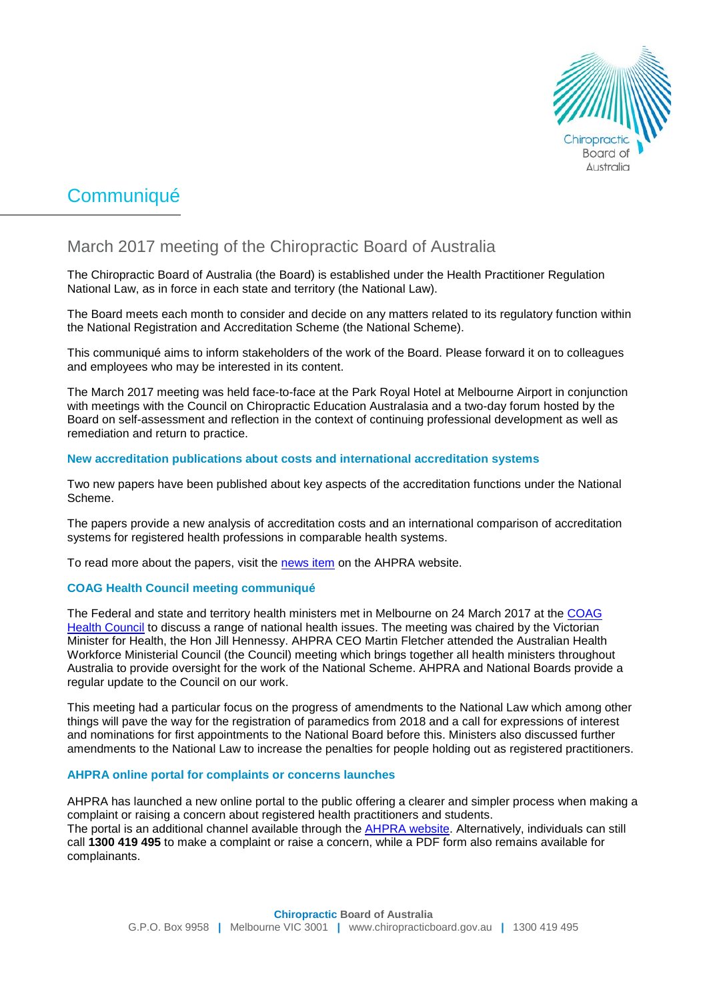

# **Communiqué**

# March 2017 meeting of the Chiropractic Board of Australia

The Chiropractic Board of Australia (the Board) is established under the Health Practitioner Regulation National Law, as in force in each state and territory (the National Law).

The Board meets each month to consider and decide on any matters related to its regulatory function within the National Registration and Accreditation Scheme (the National Scheme).

This communiqué aims to inform stakeholders of the work of the Board. Please forward it on to colleagues and employees who may be interested in its content.

The March 2017 meeting was held face-to-face at the Park Royal Hotel at Melbourne Airport in conjunction with meetings with the Council on Chiropractic Education Australasia and a two-day forum hosted by the Board on self-assessment and reflection in the context of continuing professional development as well as remediation and return to practice.

# **New accreditation publications about costs and international accreditation systems**

Two new papers have been published about key aspects of the accreditation functions under the National Scheme.

The papers provide a new analysis of accreditation costs and an international comparison of accreditation systems for registered health professions in comparable health systems.

To read more about the papers, visit the [news item](http://www.ahpra.gov.au/News/2017-03-03-new-accreditation-publications.aspx) on the AHPRA website.

# **COAG Health Council meeting communiqué**

The Federal and state and territory health ministers met in Melbourne on 24 March 2017 at the [COAG](http://www.coaghealthcouncil.gov.au/)  [Health Council](http://www.coaghealthcouncil.gov.au/) to discuss a range of national health issues. The meeting was chaired by the Victorian Minister for Health, the Hon Jill Hennessy. AHPRA CEO Martin Fletcher attended the Australian Health Workforce Ministerial Council (the Council) meeting which brings together all health ministers throughout Australia to provide oversight for the work of the National Scheme. AHPRA and National Boards provide a regular update to the Council on our work.

This meeting had a particular focus on the progress of amendments to the National Law which among other things will pave the way for the registration of paramedics from 2018 and a call for expressions of interest and nominations for first appointments to the National Board before this. Ministers also discussed further amendments to the National Law to increase the penalties for people holding out as registered practitioners.

# **AHPRA online portal for complaints or concerns launches**

AHPRA has launched a new online portal to the public offering a clearer and simpler process when making a complaint or raising a concern about registered health practitioners and students. The portal is an additional channel available through the [AHPRA website.](http://www.ahpra.gov.au/Notifications/Make-a-complaint.aspx) Alternatively, individuals can still call **1300 419 495** to make a complaint or raise a concern, while a PDF form also remains available for complainants.